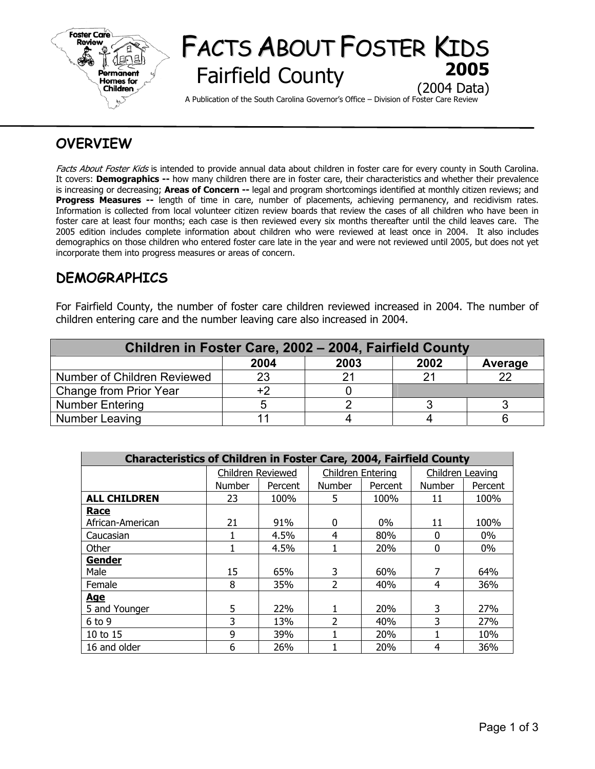

# FACTS ABOUT FOSTER KIDS **Fairfield County** (2004 Data)

A Publication of the South Carolina Governor's Office – Division of Foster Care Review

## **OVERVIEW**

Facts About Foster Kids is intended to provide annual data about children in foster care for every county in South Carolina. It covers: **Demographics --** how many children there are in foster care, their characteristics and whether their prevalence is increasing or decreasing; **Areas of Concern --** legal and program shortcomings identified at monthly citizen reviews; and **Progress Measures --** length of time in care, number of placements, achieving permanency, and recidivism rates. Information is collected from local volunteer citizen review boards that review the cases of all children who have been in foster care at least four months; each case is then reviewed every six months thereafter until the child leaves care. The 2005 edition includes complete information about children who were reviewed at least once in 2004. It also includes demographics on those children who entered foster care late in the year and were not reviewed until 2005, but does not yet incorporate them into progress measures or areas of concern.

## **DEMOGRAPHICS**

For Fairfield County, the number of foster care children reviewed increased in 2004. The number of children entering care and the number leaving care also increased in 2004.

| Children in Foster Care, 2002 - 2004, Fairfield County |      |      |      |         |  |  |  |
|--------------------------------------------------------|------|------|------|---------|--|--|--|
|                                                        | 2004 | 2003 | 2002 | Average |  |  |  |
| Number of Children Reviewed                            | 23   |      |      |         |  |  |  |
| Change from Prior Year                                 | +2   |      |      |         |  |  |  |
| <b>Number Entering</b>                                 |      |      |      |         |  |  |  |
| Number Leaving                                         |      |      |      |         |  |  |  |

| <b>Characteristics of Children in Foster Care, 2004, Fairfield County</b> |                   |         |                   |         |                  |         |  |  |  |
|---------------------------------------------------------------------------|-------------------|---------|-------------------|---------|------------------|---------|--|--|--|
|                                                                           | Children Reviewed |         | Children Entering |         | Children Leaving |         |  |  |  |
|                                                                           | <b>Number</b>     | Percent | <b>Number</b>     | Percent | <b>Number</b>    | Percent |  |  |  |
| <b>ALL CHILDREN</b>                                                       | 23                | 100%    | 5.                | 100%    | 11               | 100%    |  |  |  |
| <b>Race</b>                                                               |                   |         |                   |         |                  |         |  |  |  |
| African-American                                                          | 21                | 91%     | $\Omega$          | $0\%$   | 11               | 100%    |  |  |  |
| Caucasian                                                                 |                   | 4.5%    | 4                 | 80%     | 0                | $0\%$   |  |  |  |
| Other                                                                     |                   | 4.5%    |                   | 20%     | 0                | $0\%$   |  |  |  |
| <b>Gender</b>                                                             |                   |         |                   |         |                  |         |  |  |  |
| Male                                                                      | 15                | 65%     | 3                 | 60%     | 7                | 64%     |  |  |  |
| Female                                                                    | 8                 | 35%     | 2                 | 40%     | 4                | 36%     |  |  |  |
| <u>Age</u>                                                                |                   |         |                   |         |                  |         |  |  |  |
| 5 and Younger                                                             | 5                 | 22%     |                   | 20%     | 3                | 27%     |  |  |  |
| $6$ to 9                                                                  | 3                 | 13%     | 2                 | 40%     | 3                | 27%     |  |  |  |
| $10$ to $15$                                                              | 9                 | 39%     |                   | 20%     |                  | 10%     |  |  |  |
| 16 and older                                                              | 6                 | 26%     |                   | 20%     | 4                | 36%     |  |  |  |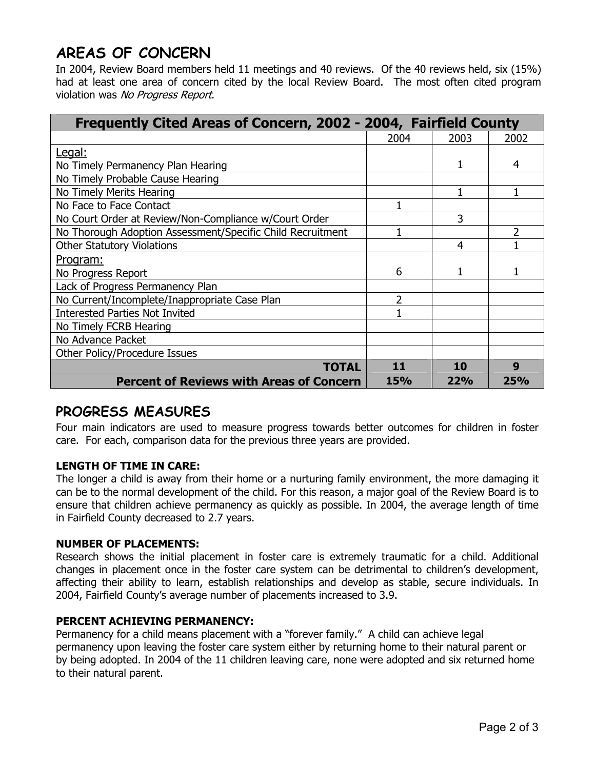## **AREAS OF CONCERN**

In 2004, Review Board members held 11 meetings and 40 reviews. Of the 40 reviews held, six (15%) had at least one area of concern cited by the local Review Board. The most often cited program violation was No Progress Report.

| Frequently Cited Areas of Concern, 2002 - 2004, Fairfield County |            |            |      |
|------------------------------------------------------------------|------------|------------|------|
|                                                                  | 2004       | 2003       | 2002 |
| Legal:                                                           |            |            |      |
| No Timely Permanency Plan Hearing                                |            |            | 4    |
| No Timely Probable Cause Hearing                                 |            |            |      |
| No Timely Merits Hearing                                         |            |            |      |
| No Face to Face Contact                                          |            |            |      |
| No Court Order at Review/Non-Compliance w/Court Order            |            | 3          |      |
| No Thorough Adoption Assessment/Specific Child Recruitment       |            |            | 2    |
| <b>Other Statutory Violations</b>                                |            | 4          |      |
| Program:                                                         |            |            |      |
| No Progress Report                                               | 6          |            |      |
| Lack of Progress Permanency Plan                                 |            |            |      |
| No Current/Incomplete/Inappropriate Case Plan                    | 2          |            |      |
| <b>Interested Parties Not Invited</b>                            |            |            |      |
| No Timely FCRB Hearing                                           |            |            |      |
| No Advance Packet                                                |            |            |      |
| Other Policy/Procedure Issues                                    |            |            |      |
| TOTAL                                                            | 11         | 10         | 9    |
| <b>Percent of Reviews with Areas of Concern</b>                  | <b>15%</b> | <b>22%</b> | 25%  |

## **PROGRESS MEASURES**

Four main indicators are used to measure progress towards better outcomes for children in foster care. For each, comparison data for the previous three years are provided.

### **LENGTH OF TIME IN CARE:**

The longer a child is away from their home or a nurturing family environment, the more damaging it can be to the normal development of the child. For this reason, a major goal of the Review Board is to ensure that children achieve permanency as quickly as possible. In 2004, the average length of time in Fairfield County decreased to 2.7 years.

### **NUMBER OF PLACEMENTS:**

Research shows the initial placement in foster care is extremely traumatic for a child. Additional changes in placement once in the foster care system can be detrimental to children's development, affecting their ability to learn, establish relationships and develop as stable, secure individuals. In 2004, Fairfield County's average number of placements increased to 3.9.

### **PERCENT ACHIEVING PERMANENCY:**

Permanency for a child means placement with a "forever family." A child can achieve legal permanency upon leaving the foster care system either by returning home to their natural parent or by being adopted. In 2004 of the 11 children leaving care, none were adopted and six returned home to their natural parent.